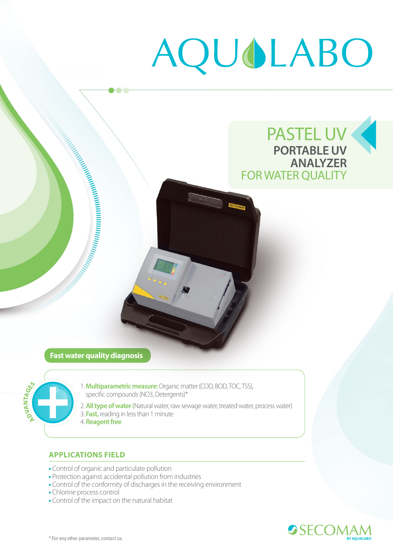# AQUOLABO

A CONSTRUCTION AND MANAGEMENT WITH THE RESEARCH OF THE MANAGEMENT WITH THE RESEARCH OF THE RESEARCH OF THE STRAIGHT

 $\bullet$ 



#### **Fast water quality diagnosis**



- 1. **Multiparametric measure:** Organic matter (COD, BOD, TOC, TSS), specific compounds (NO3, Detergents)\*
- 2. **All type of water (**Natural water, raw sewage water, treated water, process water) 3. **Fast,** reading in less than 1 minute
- 4. **Reagent free**

## **APPLICATIONS FIELD**

- Control of organic and particulate pollution
- Protection against accidental pollution from industries
- Control of the conformity of discharges in the receiving environment
- Chlorine process control
- Control of the impact on the natural habitat